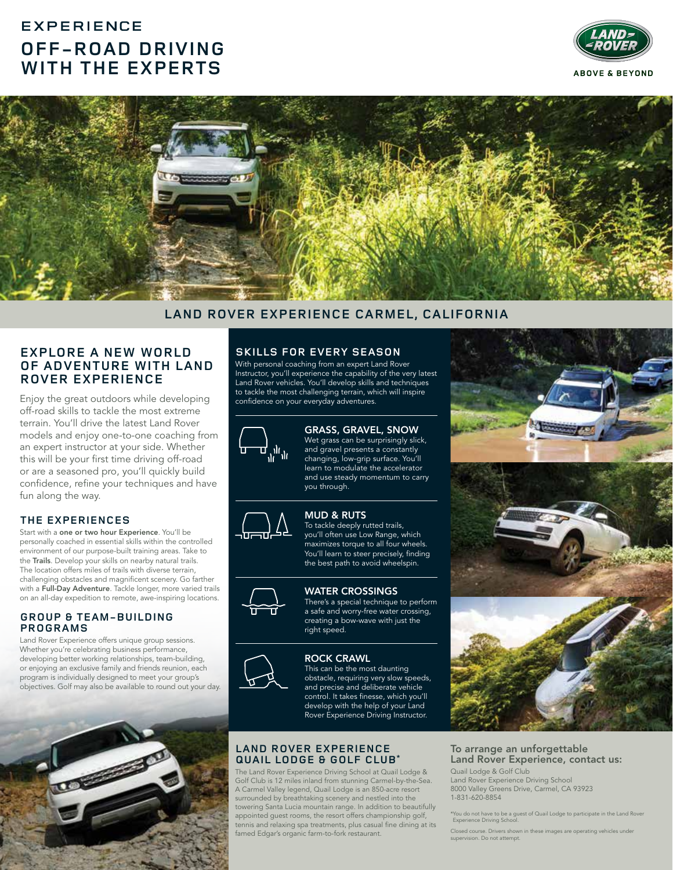# **EXPERIENCE OFF-ROAD DRIVING WITH THE EXPERTS**





# **LAND ROVER EXPERIENCE CARMEL, CALIFORNIA**

## **EXPLORE A NEW WORLD OF ADVENTURE WITH LAND ROVER EXPERIENCE**

Enjoy the great outdoors while developing off-road skills to tackle the most extreme terrain. You'll drive the latest Land Rover models and enjoy one-to-one coaching from an expert instructor at your side. Whether this will be your first time driving off-road or are a seasoned pro, you'll quickly build confidence, refine your techniques and have fun along the way.

#### **THE EXPERIENCES**

Start with a one or two hour Experience. You'll be personally coached in essential skills within the controlled environment of our purpose-built training areas. Take to the Trails. Develop your skills on nearby natural trails. The location offers miles of trails with diverse terrain, challenging obstacles and magnificent scenery. Go farther with a Full-Day Adventure. Tackle longer, more varied trails on an all-day expedition to remote, awe-inspiring locations.

#### **GROUP & TEAM-BUILDING PROGRAMS**

Land Rover Experience offers unique group sessions. Whether you're celebrating business performance, developing better working relationships, team-building, or enjoying an exclusive family and friends reunion, each program is individually designed to meet your group's objectives. Golf may also be available to round out your day.



## **SKILLS FOR EVERY SEASON**

With personal coaching from an expert Land Rover Instructor, you'll experience the capability of the very latest Land Rover vehicles. You'll develop skills and techniques to tackle the most challenging terrain, which will inspire confidence on your everyday adventures.



GRASS, GRAVEL, SNOW Wet grass can be surprisingly slick, and gravel presents a constantly changing, low-grip surface. You'll learn to modulate the accelerator and use steady momentum to carry you through.



MUD & RUTS To tackle deeply rutted trails, you'll often use Low Range, which maximizes torque to all four wheels. You'll learn to steer precisely, finding the best path to avoid wheelspin.

#### WATER CROSSINGS

There's a special technique to perform a safe and worry-free water crossing, creating a bow-wave with just the right speed.



ROCK CRAWL This can be the most daunting obstacle, requiring very slow speeds, and precise and deliberate vehicle control. It takes finesse, which you'll develop with the help of your Land Rover Experience Driving Instructor.

#### **LAND ROVER EXPERIENCE QUAIL LODGE & GOLF CLUB\***

The Land Rover Experience Driving School at Quail Lodge & Golf Club is 12 miles inland from stunning Carmel-by-the-Sea. A Carmel Valley legend, Quail Lodge is an 850-acre resort surrounded by breathtaking scenery and nestled into the towering Santa Lucia mountain range. In addition to beautifully appointed guest rooms, the resort offers championship golf, tennis and relaxing spa treatments, plus casual fine dining at its famed Edgar's organic farm-to-fork restaurant.



#### To arrange an unforgettable Land Rover Experience, contact us: Quail Lodge & Golf Club

Land Rover Experience Driving School 8000 Valley Greens Drive, Carmel, CA 93923 1-831-620-8854

\*You do not have to be a guest of Quail Lodge to participate in the Land Rover Experience Driving School.

Closed course. Drivers shown in these images are operating vehicles under urse. Drivers sinen<br>1 Do not attempt